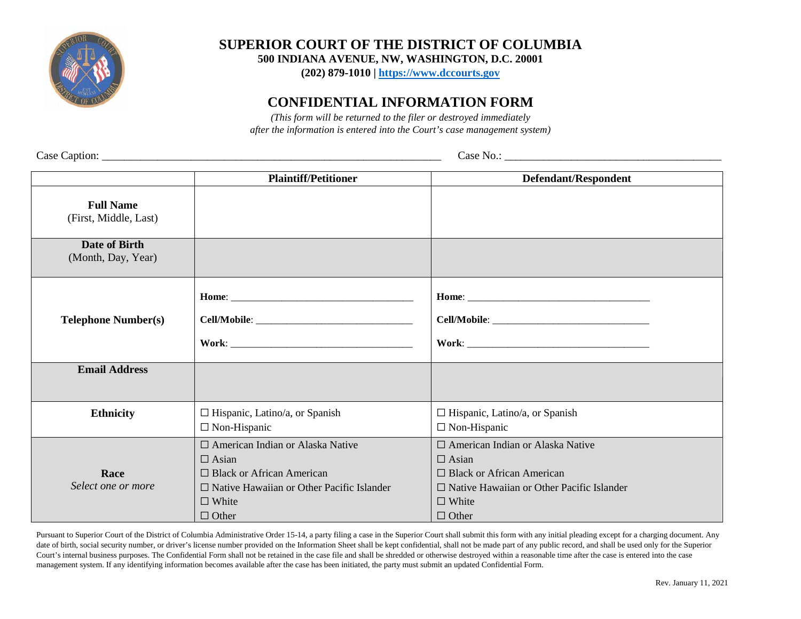

**SUPERIOR COURT OF THE DISTRICT OF COLUMBIA**

**500 INDIANA AVENUE, NW, WASHINGTON, D.C. 20001**

**(202) 879-1010 | [https://www.dccourts.gov](https://www.dccourts.gov/)**

## **CONFIDENTIAL INFORMATION FORM**

*(This form will be returned to the filer or destroyed immediately after the information is entered into the Court's case management system)*

Case Caption: \_\_\_\_\_\_\_\_\_\_\_\_\_\_\_\_\_\_\_\_\_\_\_\_\_\_\_\_\_\_\_\_\_\_\_\_\_\_\_\_\_\_\_\_\_\_\_\_\_\_\_\_\_\_\_\_\_\_\_\_\_ Case No.: \_\_\_\_\_\_\_\_\_\_\_\_\_\_\_\_\_\_\_\_\_\_\_\_\_\_\_\_\_\_\_\_\_\_\_\_\_\_\_

|                                           | <b>Plaintiff/Petitioner</b>                                                                                                                                                | Defendant/Respondent                                                                                                                                                       |  |  |
|-------------------------------------------|----------------------------------------------------------------------------------------------------------------------------------------------------------------------------|----------------------------------------------------------------------------------------------------------------------------------------------------------------------------|--|--|
| <b>Full Name</b><br>(First, Middle, Last) |                                                                                                                                                                            |                                                                                                                                                                            |  |  |
| Date of Birth<br>(Month, Day, Year)       |                                                                                                                                                                            |                                                                                                                                                                            |  |  |
| <b>Telephone Number(s)</b>                |                                                                                                                                                                            |                                                                                                                                                                            |  |  |
| <b>Email Address</b>                      |                                                                                                                                                                            |                                                                                                                                                                            |  |  |
| <b>Ethnicity</b>                          | $\Box$ Hispanic, Latino/a, or Spanish<br>$\Box$ Non-Hispanic                                                                                                               | $\Box$ Hispanic, Latino/a, or Spanish<br>$\Box$ Non-Hispanic                                                                                                               |  |  |
| Race<br>Select one or more                | □ American Indian or Alaska Native<br>$\Box$ Asian<br>$\Box$ Black or African American<br>$\Box$ Native Hawaiian or Other Pacific Islander<br>$\Box$ White<br>$\Box$ Other | □ American Indian or Alaska Native<br>$\Box$ Asian<br>$\Box$ Black or African American<br>$\Box$ Native Hawaiian or Other Pacific Islander<br>$\Box$ White<br>$\Box$ Other |  |  |

Pursuant to Superior Court of the District of Columbia Administrative Order 15-14, a party filing a case in the Superior Court shall submit this form with any initial pleading except for a charging document. Any date of birth, social security number, or driver's license number provided on the Information Sheet shall be kept confidential, shall not be made part of any public record, and shall be used only for the Superior Court's internal business purposes. The Confidential Form shall not be retained in the case file and shall be shredded or otherwise destroyed within a reasonable time after the case is entered into the case management system. If any identifying information becomes available after the case has been initiated, the party must submit an updated Confidential Form.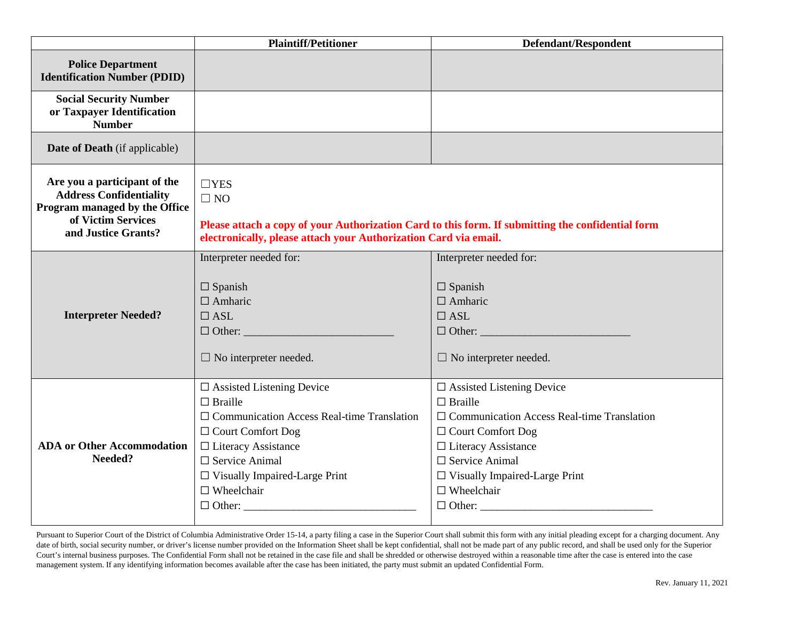|                                                                                                                                              | <b>Plaintiff/Petitioner</b><br>Defendant/Respondent                                                                                                                                                                                                                                                                                                                                                                                                                                                                                       |                                                                                                            |
|----------------------------------------------------------------------------------------------------------------------------------------------|-------------------------------------------------------------------------------------------------------------------------------------------------------------------------------------------------------------------------------------------------------------------------------------------------------------------------------------------------------------------------------------------------------------------------------------------------------------------------------------------------------------------------------------------|------------------------------------------------------------------------------------------------------------|
| <b>Police Department</b><br><b>Identification Number (PDID)</b>                                                                              |                                                                                                                                                                                                                                                                                                                                                                                                                                                                                                                                           |                                                                                                            |
| <b>Social Security Number</b><br>or Taxpayer Identification<br><b>Number</b>                                                                 |                                                                                                                                                                                                                                                                                                                                                                                                                                                                                                                                           |                                                                                                            |
| <b>Date of Death</b> (if applicable)                                                                                                         |                                                                                                                                                                                                                                                                                                                                                                                                                                                                                                                                           |                                                                                                            |
| Are you a participant of the<br><b>Address Confidentiality</b><br>Program managed by the Office<br>of Victim Services<br>and Justice Grants? | $\Box$ YES<br>$\Box$ NO<br>Please attach a copy of your Authorization Card to this form. If submitting the confidential form<br>electronically, please attach your Authorization Card via email.                                                                                                                                                                                                                                                                                                                                          |                                                                                                            |
| <b>Interpreter Needed?</b>                                                                                                                   | Interpreter needed for:<br>$\Box$ Spanish<br>$\Box$ Amharic<br>$\Box$ ASL<br>$\Box$ No interpreter needed.                                                                                                                                                                                                                                                                                                                                                                                                                                | Interpreter needed for:<br>$\Box$ Spanish<br>$\Box$ Amharic<br>$\Box$ ASL<br>$\Box$ No interpreter needed. |
| <b>ADA</b> or Other Accommodation<br>Needed?                                                                                                 | $\square$ Assisted Listening Device<br>$\square$ Assisted Listening Device<br>$\Box$ Braille<br>$\Box$ Braille<br>$\Box$ Communication Access Real-time Translation<br>$\Box$ Communication Access Real-time Translation<br>$\Box$ Court Comfort Dog<br>$\Box$ Court Comfort Dog<br>$\Box$ Literacy Assistance<br>$\Box$ Literacy Assistance<br>$\Box$ Service Animal<br>$\Box$ Service Animal<br>$\Box$ Visually Impaired-Large Print<br>$\Box$ Visually Impaired-Large Print<br>$\Box$ Wheelchair<br>$\Box$ Wheelchair<br>$\Box$ Other: |                                                                                                            |

Pursuant to Superior Court of the District of Columbia Administrative Order 15-14, a party filing a case in the Superior Court shall submit this form with any initial pleading except for a charging document. Any date of birth, social security number, or driver's license number provided on the Information Sheet shall be kept confidential, shall not be made part of any public record, and shall be used only for the Superior Court's internal business purposes. The Confidential Form shall not be retained in the case file and shall be shredded or otherwise destroyed within a reasonable time after the case is entered into the case management system. If any identifying information becomes available after the case has been initiated, the party must submit an updated Confidential Form.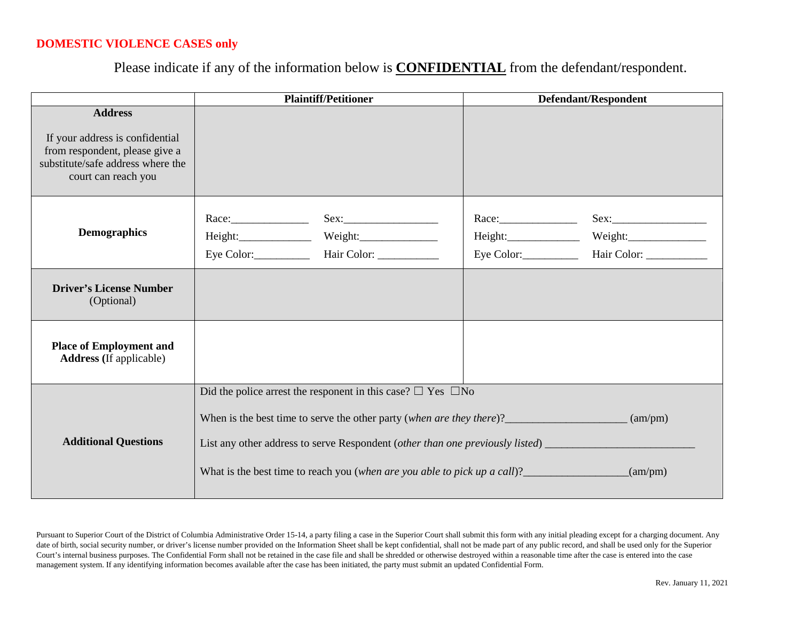## **DOMESTIC VIOLENCE CASES only**

Please indicate if any of the information below is **CONFIDENTIAL** from the defendant/respondent.

|                                                                                                                               | <b>Plaintiff/Petitioner</b><br>Defendant/Respondent                                                              |                                                                        |  |                        |
|-------------------------------------------------------------------------------------------------------------------------------|------------------------------------------------------------------------------------------------------------------|------------------------------------------------------------------------|--|------------------------|
| <b>Address</b>                                                                                                                |                                                                                                                  |                                                                        |  |                        |
| If your address is confidential<br>from respondent, please give a<br>substitute/safe address where the<br>court can reach you |                                                                                                                  |                                                                        |  |                        |
| <b>Demographics</b>                                                                                                           |                                                                                                                  | Height: Weight: Weight:                                                |  | Eye Color: Hair Color: |
| <b>Driver's License Number</b><br>(Optional)                                                                                  |                                                                                                                  |                                                                        |  |                        |
| <b>Place of Employment and</b><br><b>Address</b> (If applicable)                                                              |                                                                                                                  |                                                                        |  |                        |
|                                                                                                                               |                                                                                                                  | Did the police arrest the responent in this case? $\Box$ Yes $\Box$ No |  |                        |
| <b>Additional Questions</b>                                                                                                   | $\mu$ (am/pm)<br>What is the best time to reach you (when are you able to pick up a call)?<br>$\text{\_}(am/pm)$ |                                                                        |  |                        |

Pursuant to Superior Court of the District of Columbia Administrative Order 15-14, a party filing a case in the Superior Court shall submit this form with any initial pleading except for a charging document. Any date of birth, social security number, or driver's license number provided on the Information Sheet shall be kept confidential, shall not be made part of any public record, and shall be used only for the Superior Court's internal business purposes. The Confidential Form shall not be retained in the case file and shall be shredded or otherwise destroyed within a reasonable time after the case is entered into the case management system. If any identifying information becomes available after the case has been initiated, the party must submit an updated Confidential Form.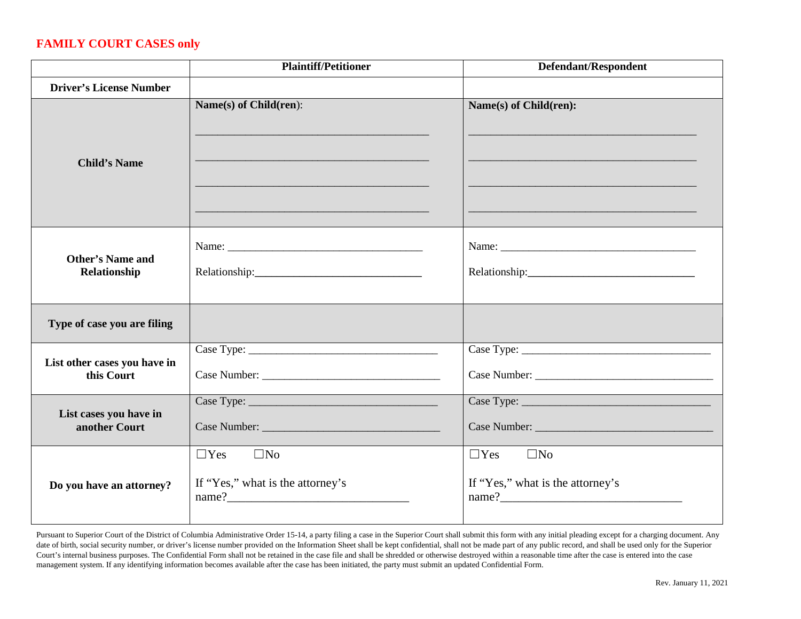## **FAMILY COURT CASES only**

|                                            | <b>Plaintiff/Petitioner</b><br>Defendant/Respondent                     |                                                                         |  |
|--------------------------------------------|-------------------------------------------------------------------------|-------------------------------------------------------------------------|--|
| <b>Driver's License Number</b>             |                                                                         |                                                                         |  |
| <b>Child's Name</b>                        | Name(s) of Child(ren):                                                  | Name(s) of Child(ren):                                                  |  |
| <b>Other's Name and</b><br>Relationship    |                                                                         |                                                                         |  |
| Type of case you are filing                |                                                                         |                                                                         |  |
| List other cases you have in<br>this Court |                                                                         |                                                                         |  |
| List cases you have in<br>another Court    |                                                                         |                                                                         |  |
| Do you have an attorney?                   | $\Box$ Yes<br>$\square$ No<br>If "Yes," what is the attorney's<br>name? | $\square$ No<br>$\Box$ Yes<br>If "Yes," what is the attorney's<br>name? |  |

Pursuant to Superior Court of the District of Columbia Administrative Order 15-14, a party filing a case in the Superior Court shall submit this form with any initial pleading except for a charging document. Any date of birth, social security number, or driver's license number provided on the Information Sheet shall be kept confidential, shall not be made part of any public record, and shall be used only for the Superior Court's internal business purposes. The Confidential Form shall not be retained in the case file and shall be shredded or otherwise destroyed within a reasonable time after the case is entered into the case management system. If any identifying information becomes available after the case has been initiated, the party must submit an updated Confidential Form.